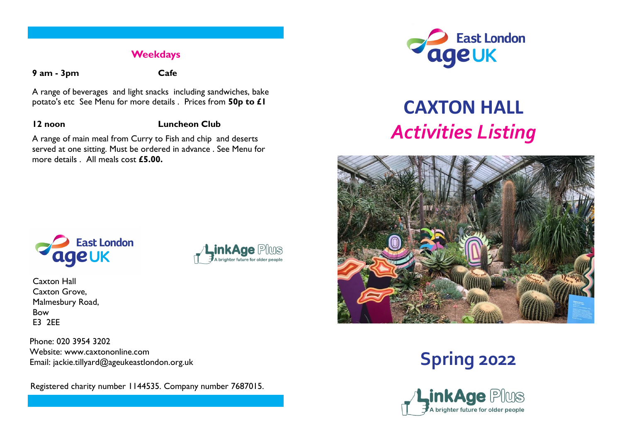#### **Weekdays**

**9 am - 3pm Cafe**

A range of beverages and light snacks including sandwiches, bake potato's etc See Menu for more details . Prices from **50p to £1**

#### **12 noon Luncheon Club**

*inkAge Plus* 

A brighter future for older peopl

A range of main meal from Curry to Fish and chip and deserts served at one sitting. Must be ordered in advance . See Menu for more details . All meals cost **£5.00.**



# **CAXTON HALL** *Activities Listing*





Caxton Hall Caxton Grove, Malmesbury Road, Bow E3 2EE

Phone: 020 3954 3202 Website: www.caxtononline.com Email: jackie.tillyard@ageukeastlondon.org.uk

Registered charity number 1144535. Company number 7687015.



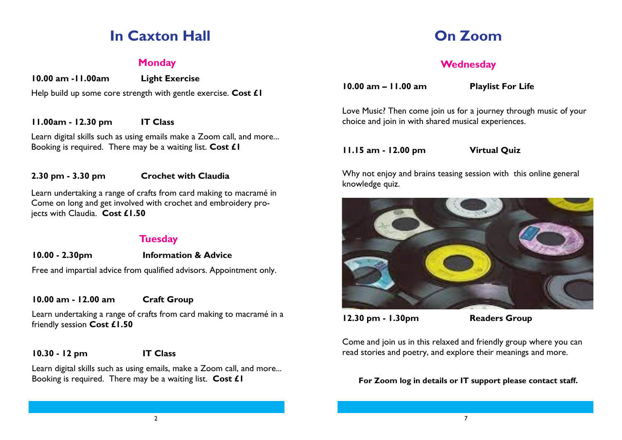# **In Caxton Hall**

#### **Monday**

**10.00 am -11.00am Light Exercise**

Help build up some core strength with gentle exercise. **Cost £1**

#### **11.00am - 12.30 pm IT Class**

Learn digital skills such as using emails make a Zoom call, and more... Booking is required. There may be a waiting list. **Cost £1**

#### **2.30 pm - 3.30 pm Crochet with Claudia**

Learn undertaking a range of crafts from card making to macramé in Come on long and get involved with crochet and embroidery projects with Claudia. **Cost £1.50**

#### **Tuesday**

#### **10.00 - 2.30pm Information & Advice**

Free and impartial advice from qualified advisors. Appointment only.

#### **10.00 am - 12.00 am Craft Group**

Learn undertaking a range of crafts from card making to macramé in a friendly session **Cost £1.50**

#### **10.30 - 12 pm IT Class**

Learn digital skills such as using emails, make a Zoom call, and more... Booking is required. There may be a waiting list. **Cost £1**

### **On Zoom**

#### **Wednesday**

**10.00 am – 11.00 am Playlist For Life** 

Love Music? Then come join us for a journey through music of your choice and join in with shared musical experiences.

**11.15 am - 12.00 pm Virtual Quiz**

Why not enjoy and brains teasing session with this online general knowledge quiz.



**12.30 pm - 1.30pm Readers Group** 

Come and join us in this relaxed and friendly group where you can read stories and poetry, and explore their meanings and more.

#### **For Zoom log in details or IT support please contact staff.**

2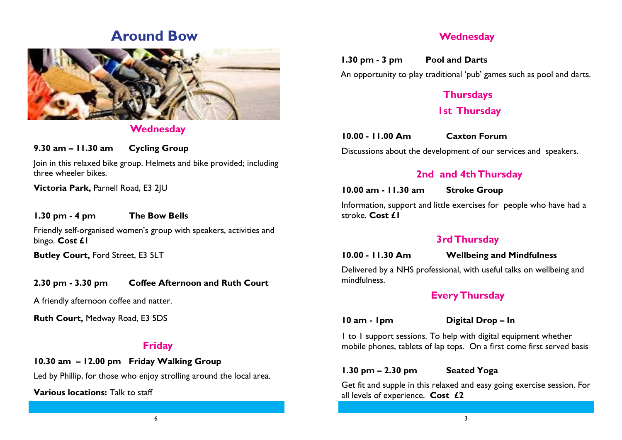### **Around Bow**



#### **Wednesday**

**9.30 am – 11.30 am Cycling Group** 

Join in this relaxed bike group. Helmets and bike provided; including three wheeler bikes.

**Victoria Park,** Parnell Road, E3 2JU

#### **1.30 pm - 4 pm The Bow Bells**

Friendly self-organised women's group with speakers, activities and bingo. **Cost £1**

**Butley Court,** Ford Street, E3 5LT

#### **2.30 pm - 3.30 pm Coffee Afternoon and Ruth Court**

A friendly afternoon coffee and natter.

**Ruth Court,** Medway Road, E3 5DS

#### **Friday**

#### **10.30 am – 12.00 pm Friday Walking Group**

Led by Phillip, for those who enjoy strolling around the local area.

**Various locations:** Talk to staff

#### **Wednesday**

**1.30 pm - 3 pm Pool and Darts**

An opportunity to play traditional 'pub' games such as pool and darts.

### **Thursdays 1st Thursday**

**10.00 - 11.00 Am Caxton Forum** 

Discussions about the development of our services and speakers.

#### **2nd and 4th Thursday**

**10.00 am - 11.30 am Stroke Group**

Information, support and little exercises for people who have had a stroke. **Cost £1**

#### **3rd Thursday**

**10.00 - 11.30 Am Wellbeing and Mindfulness**

Delivered by a NHS professional, with useful talks on wellbeing and mindfulness.

#### **Every Thursday**

**10 am - 1pm Digital Drop – In** 

1 to 1 support sessions. To help with digital equipment whether mobile phones, tablets of lap tops. On a first come first served basis

#### **1.30 pm – 2.30 pm Seated Yoga**

Get fit and supple in this relaxed and easy going exercise session. For all levels of experience. **Cost £2**